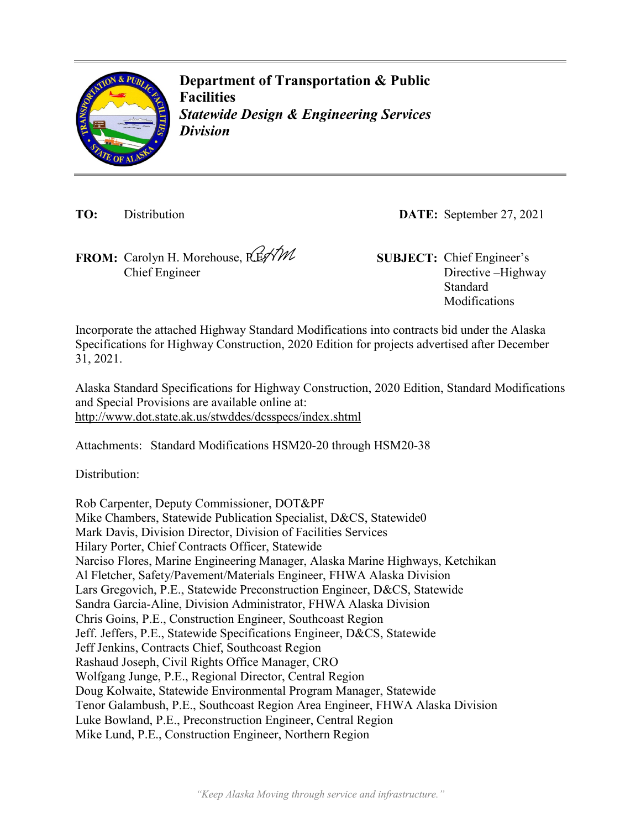

**Department of Transportation & Public Facilities** *Statewide Design & Engineering Services Division* 

FROM: Carolyn H. Morehouse,  $\mathcal{H} \mathcal{H}$  SUBJECT: Chief Engineer's Chief Engineer

**TO:** Distribution **DATE:** September 27, 2021

Directive –Highway **Standard** Modifications

Incorporate the attached Highway Standard Modifications into contracts bid under the Alaska Specifications for Highway Construction, 2020 Edition for projects advertised after December 31, 2021.

Alaska Standard Specifications for Highway Construction, 2020 Edition, Standard Modifications and Special Provisions are available online at: <http://www.dot.state.ak.us/stwddes/dcsspecs/index.shtml>

Attachments: Standard Modifications HSM20-20 through HSM20-38

Distribution:

Rob Carpenter, Deputy Commissioner, DOT&PF Mike Chambers, Statewide Publication Specialist, D&CS, Statewide0 Mark Davis, Division Director, Division of Facilities Services Hilary Porter, Chief Contracts Officer, Statewide Narciso Flores, Marine Engineering Manager, Alaska Marine Highways, Ketchikan Al Fletcher, Safety/Pavement/Materials Engineer, FHWA Alaska Division Lars Gregovich, P.E., Statewide Preconstruction Engineer, D&CS, Statewide Sandra Garcia-Aline, Division Administrator, FHWA Alaska Division Chris Goins, P.E., Construction Engineer, Southcoast Region Jeff. Jeffers, P.E., Statewide Specifications Engineer, D&CS, Statewide Jeff Jenkins, Contracts Chief, Southcoast Region Rashaud Joseph, Civil Rights Office Manager, CRO Wolfgang Junge, P.E., Regional Director, Central Region Doug Kolwaite, Statewide Environmental Program Manager, Statewide Tenor Galambush, P.E., Southcoast Region Area Engineer, FHWA Alaska Division Luke Bowland, P.E., Preconstruction Engineer, Central Region Mike Lund, P.E., Construction Engineer, Northern Region